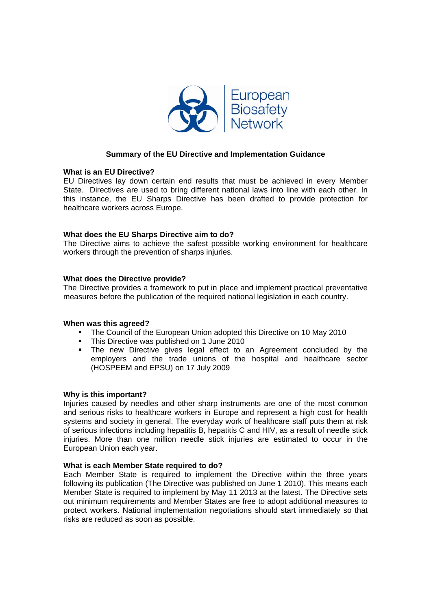

# **Summary of the EU Directive and Implementation Guidance**

#### **What is an EU Directive?**

EU Directives lay down certain end results that must be achieved in every Member State. Directives are used to bring different national laws into line with each other. In this instance, the EU Sharps Directive has been drafted to provide protection for healthcare workers across Europe.

## **What does the EU Sharps Directive aim to do?**

The Directive aims to achieve the safest possible working environment for healthcare workers through the prevention of sharps injuries.

#### **What does the Directive provide?**

The Directive provides a framework to put in place and implement practical preventative measures before the publication of the required national legislation in each country.

#### **When was this agreed?**

- The Council of the European Union adopted this Directive on 10 May 2010
- This Directive was published on 1 June 2010
- The new Directive gives legal effect to an Agreement concluded by the employers and the trade unions of the hospital and healthcare sector (HOSPEEM and EPSU) on 17 July 2009

#### **Why is this important?**

Injuries caused by needles and other sharp instruments are one of the most common and serious risks to healthcare workers in Europe and represent a high cost for health systems and society in general. The everyday work of healthcare staff puts them at risk of serious infections including hepatitis B, hepatitis C and HIV, as a result of needle stick injuries. More than one million needle stick injuries are estimated to occur in the European Union each year.

#### **What is each Member State required to do?**

Each Member State is required to implement the Directive within the three years following its publication (The Directive was published on June 1 2010). This means each Member State is required to implement by May 11 2013 at the latest. The Directive sets out minimum requirements and Member States are free to adopt additional measures to protect workers. National implementation negotiations should start immediately so that risks are reduced as soon as possible.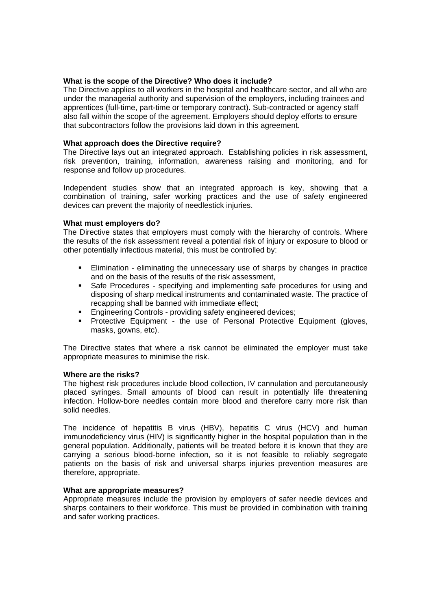## **What is the scope of the Directive? Who does it include?**

The Directive applies to all workers in the hospital and healthcare sector, and all who are under the managerial authority and supervision of the employers, including trainees and apprentices (full-time, part-time or temporary contract). Sub-contracted or agency staff also fall within the scope of the agreement. Employers should deploy efforts to ensure that subcontractors follow the provisions laid down in this agreement.

# **What approach does the Directive require?**

The Directive lays out an integrated approach. Establishing policies in risk assessment, risk prevention, training, information, awareness raising and monitoring, and for response and follow up procedures.

Independent studies show that an integrated approach is key, showing that a combination of training, safer working practices and the use of safety engineered devices can prevent the majority of needlestick injuries.

# **What must employers do?**

The Directive states that employers must comply with the hierarchy of controls. Where the results of the risk assessment reveal a potential risk of injury or exposure to blood or other potentially infectious material, this must be controlled by:

- Elimination eliminating the unnecessary use of sharps by changes in practice and on the basis of the results of the risk assessment,
- Safe Procedures specifying and implementing safe procedures for using and disposing of sharp medical instruments and contaminated waste. The practice of recapping shall be banned with immediate effect;
- **Engineering Controls providing safety engineered devices;**
- Protective Equipment the use of Personal Protective Equipment (gloves, masks, gowns, etc).

The Directive states that where a risk cannot be eliminated the employer must take appropriate measures to minimise the risk.

## **Where are the risks?**

The highest risk procedures include blood collection, IV cannulation and percutaneously placed syringes. Small amounts of blood can result in potentially life threatening infection. Hollow-bore needles contain more blood and therefore carry more risk than solid needles.

The incidence of hepatitis B virus (HBV), hepatitis C virus (HCV) and human immunodeficiency virus (HIV) is significantly higher in the hospital population than in the general population. Additionally, patients will be treated before it is known that they are carrying a serious blood-borne infection, so it is not feasible to reliably segregate patients on the basis of risk and universal sharps injuries prevention measures are therefore, appropriate.

## **What are appropriate measures?**

Appropriate measures include the provision by employers of safer needle devices and sharps containers to their workforce. This must be provided in combination with training and safer working practices.